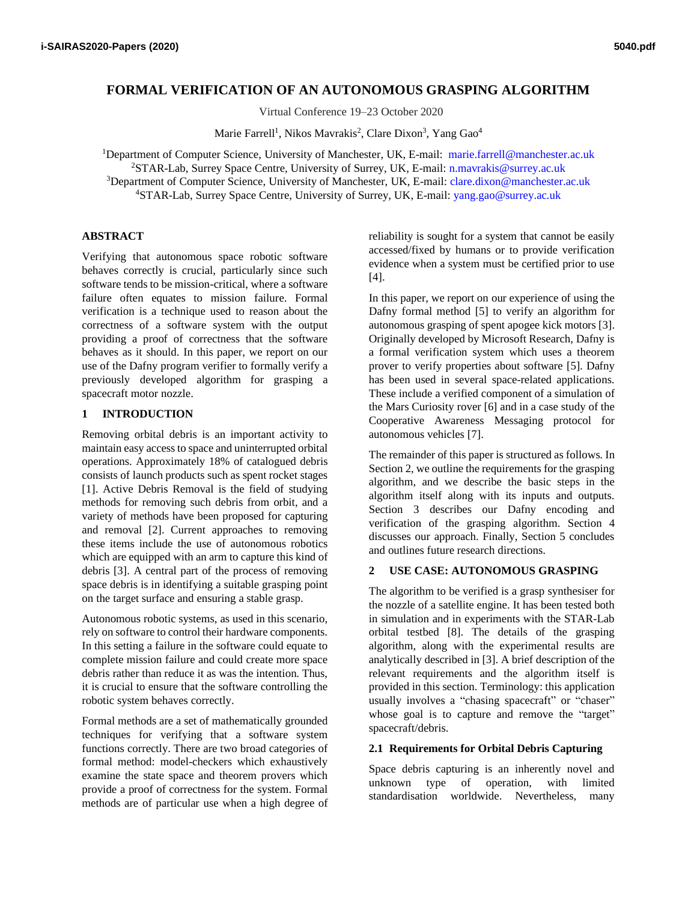# **FORMAL VERIFICATION OF AN AUTONOMOUS GRASPING ALGORITHM**

Virtual Conference 19–23 October 2020

Marie Farrell<sup>1</sup>, Nikos Mavrakis<sup>2</sup>, Clare Dixon<sup>3</sup>, Yang Gao<sup>4</sup>

Department of Computer Science, University of Manchester, UK, E-mail: marie.farrell@manchester.ac.uk STAR-Lab, Surrey Space Centre, University of Surrey, UK, E-mail: n.mavrakis@surrey.ac.uk <sup>3</sup>Department of Computer Science, University of Manchester, UK, E-mail: [clare.dixon@manchester.ac.uk](mailto:clare.dixon@manchester.ac.uk) STAR-Lab, Surrey Space Centre, University of Surrey, UK, E-mail: yang.gao@surrey.ac.uk

# **ABSTRACT**

Verifying that autonomous space robotic software behaves correctly is crucial, particularly since such software tends to be mission-critical, where a software failure often equates to mission failure. Formal verification is a technique used to reason about the correctness of a software system with the output providing a proof of correctness that the software behaves as it should. In this paper, we report on our use of the Dafny program verifier to formally verify a previously developed algorithm for grasping a spacecraft motor nozzle.

# **1 INTRODUCTION**

Removing orbital debris is an important activity to maintain easy access to space and uninterrupted orbital operations. Approximately 18% of catalogued debris consists of launch products such as spent rocket stages [1]. Active Debris Removal is the field of studying methods for removing such debris from orbit, and a variety of methods have been proposed for capturing and removal [2]. Current approaches to removing these items include the use of autonomous robotics which are equipped with an arm to capture this kind of debris [3]. A central part of the process of removing space debris is in identifying a suitable grasping point on the target surface and ensuring a stable grasp.

Autonomous robotic systems, as used in this scenario, rely on software to control their hardware components. In this setting a failure in the software could equate to complete mission failure and could create more space debris rather than reduce it as was the intention. Thus, it is crucial to ensure that the software controlling the robotic system behaves correctly.

Formal methods are a set of mathematically grounded techniques for verifying that a software system functions correctly. There are two broad categories of formal method: model-checkers which exhaustively examine the state space and theorem provers which provide a proof of correctness for the system. Formal methods are of particular use when a high degree of reliability is sought for a system that cannot be easily accessed/fixed by humans or to provide verification evidence when a system must be certified prior to use [4].

In this paper, we report on our experience of using the Dafny formal method [5] to verify an algorithm for autonomous grasping of spent apogee kick motors [3]. Originally developed by Microsoft Research, Dafny is a formal verification system which uses a theorem prover to verify properties about software [5]. Dafny has been used in several space-related applications. These include a verified component of a simulation of the Mars Curiosity rover [6] and in a case study of the Cooperative Awareness Messaging protocol for autonomous vehicles [7].

The remainder of this paper is structured as follows. In Section 2, we outline the requirements for the grasping algorithm, and we describe the basic steps in the algorithm itself along with its inputs and outputs. Section 3 describes our Dafny encoding and verification of the grasping algorithm. Section 4 discusses our approach. Finally, Section 5 concludes and outlines future research directions.

# **2 USE CASE: AUTONOMOUS GRASPING**

The algorithm to be verified is a grasp synthesiser for the nozzle of a satellite engine. It has been tested both in simulation and in experiments with the STAR-Lab orbital testbed [8]. The details of the grasping algorithm, along with the experimental results are analytically described in [3]. A brief description of the relevant requirements and the algorithm itself is provided in this section. Terminology: this application usually involves a "chasing spacecraft" or "chaser" whose goal is to capture and remove the "target" spacecraft/debris.

### **2.1 Requirements for Orbital Debris Capturing**

Space debris capturing is an inherently novel and unknown type of operation, with limited standardisation worldwide. Nevertheless, many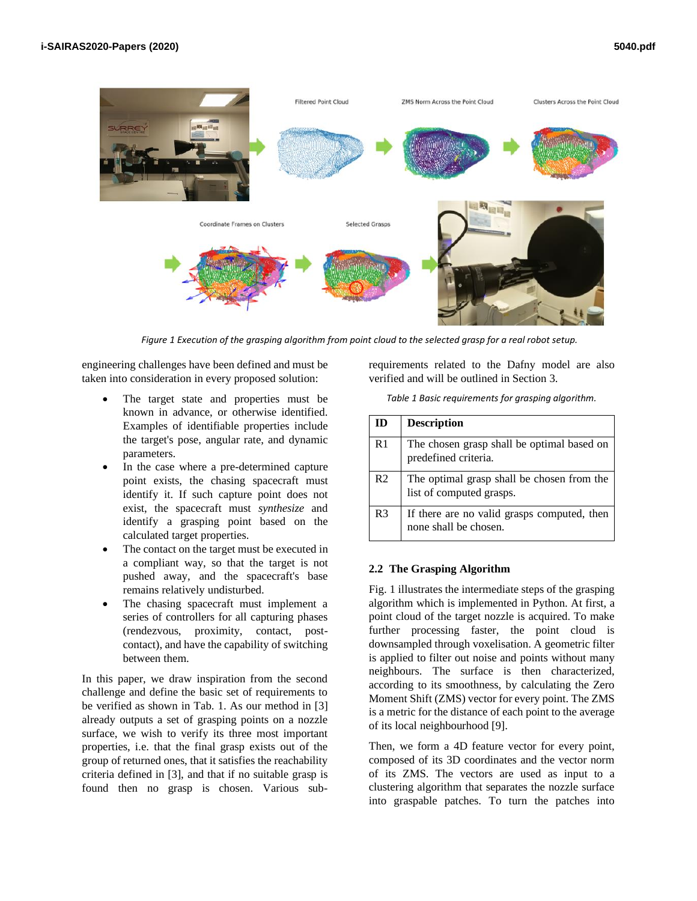

*Figure 1 Execution of the grasping algorithm from point cloud to the selected grasp for a real robot setup.*

engineering challenges have been defined and must be taken into consideration in every proposed solution:

- The target state and properties must be known in advance, or otherwise identified. Examples of identifiable properties include the target's pose, angular rate, and dynamic parameters.
- In the case where a pre-determined capture point exists, the chasing spacecraft must identify it. If such capture point does not exist, the spacecraft must *synthesize* and identify a grasping point based on the calculated target properties.
- The contact on the target must be executed in a compliant way, so that the target is not pushed away, and the spacecraft's base remains relatively undisturbed.
- The chasing spacecraft must implement a series of controllers for all capturing phases (rendezvous, proximity, contact, postcontact), and have the capability of switching between them.

In this paper, we draw inspiration from the second challenge and define the basic set of requirements to be verified as shown in Tab. 1. As our method in [3] already outputs a set of grasping points on a nozzle surface, we wish to verify its three most important properties, i.e. that the final grasp exists out of the group of returned ones, that it satisfies the reachability criteria defined in [3], and that if no suitable grasp is found then no grasp is chosen. Various subrequirements related to the Dafny model are also verified and will be outlined in Section 3.

*Table 1 Basic requirements for grasping algorithm.*

| ID             | <b>Description</b>                                                     |
|----------------|------------------------------------------------------------------------|
| R1             | The chosen grasp shall be optimal based on<br>predefined criteria.     |
| R <sub>2</sub> | The optimal grasp shall be chosen from the<br>list of computed grasps. |
| R <sub>3</sub> | If there are no valid grasps computed, then<br>none shall be chosen.   |

# **2.2 The Grasping Algorithm**

Fig. 1 illustrates the intermediate steps of the grasping algorithm which is implemented in Python. At first, a point cloud of the target nozzle is acquired. To make further processing faster, the point cloud is downsampled through voxelisation. A geometric filter is applied to filter out noise and points without many neighbours. The surface is then characterized, according to its smoothness, by calculating the Zero Moment Shift (ZMS) vector for every point. The ZMS is a metric for the distance of each point to the average of its local neighbourhood [9].

Then, we form a 4D feature vector for every point, composed of its 3D coordinates and the vector norm of its ZMS. The vectors are used as input to a clustering algorithm that separates the nozzle surface into graspable patches. To turn the patches into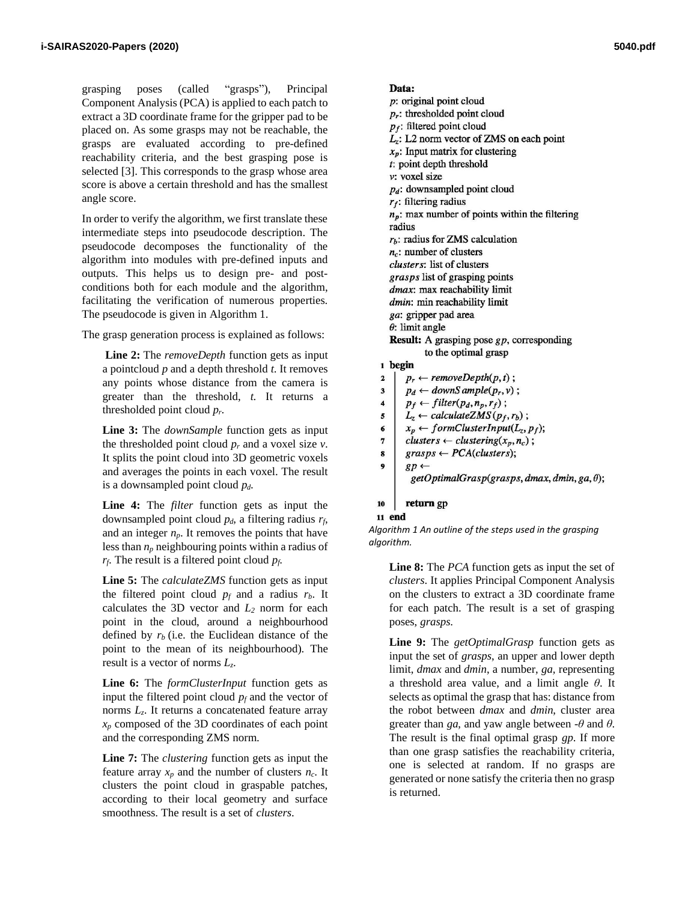grasping poses (called "grasps"), Principal Component Analysis (PCA) is applied to each patch to extract a 3D coordinate frame for the gripper pad to be placed on. As some grasps may not be reachable, the grasps are evaluated according to pre-defined reachability criteria, and the best grasping pose is selected [3]. This corresponds to the grasp whose area score is above a certain threshold and has the smallest angle score.

In order to verify the algorithm, we first translate these intermediate steps into pseudocode description. The pseudocode decomposes the functionality of the algorithm into modules with pre-defined inputs and outputs. This helps us to design pre- and postconditions both for each module and the algorithm, facilitating the verification of numerous properties. The pseudocode is given in Algorithm 1.

The grasp generation process is explained as follows:

**Line 2:** The *removeDepth* function gets as input a pointcloud *p* and a depth threshold *t*. It removes any points whose distance from the camera is greater than the threshold, *t*. It returns a thresholded point cloud *pr*.

**Line 3:** The *downSample* function gets as input the thresholded point cloud  $p_r$  and a voxel size  $v$ . It splits the point cloud into 3D geometric voxels and averages the points in each voxel. The result is a downsampled point cloud *pd*.

**Line 4:** The *filter* function gets as input the downsampled point cloud *pd*, a filtering radius *rf*, and an integer  $n_p$ . It removes the points that have less than *n<sup>p</sup>* neighbouring points within a radius of *rf*. The result is a filtered point cloud *pf*.

**Line 5:** The *calculateZMS* function gets as input the filtered point cloud  $p_f$  and a radius  $r_b$ . It calculates the 3D vector and  $L_2$  norm for each point in the cloud, around a neighbourhood defined by  $r<sub>b</sub>$  (i.e. the Euclidean distance of the point to the mean of its neighbourhood). The result is a vector of norms *Lz*.

**Line 6:** The *formClusterInput* function gets as input the filtered point cloud  $p_f$  and the vector of norms  $L_z$ . It returns a concatenated feature array *x<sup>p</sup>* composed of the 3D coordinates of each point and the corresponding ZMS norm.

**Line 7:** The *clustering* function gets as input the feature array  $x_p$  and the number of clusters  $n_c$ . It clusters the point cloud in graspable patches, according to their local geometry and surface smoothness. The result is a set of *clusters*.

```
Data:
  p: original point cloud
  p_r: thresholded point cloud
  p_f: filtered point cloud
  L_z: L2 norm vector of ZMS on each point
  x_p: Input matrix for clustering
  t: point depth threshold
  v: voxel size
  p_d: downsampled point cloud
  r_f: filtering radius
  n_p: max number of points within the filtering
  radius
  r_h: radius for ZMS calculation
  n_c: number of clusters
  clusters: list of clusters
  grasps list of grasping points
  dmax: max reachability limit
  dmin: min reachability limit
  ga: gripper pad area
  \theta: limit angle
  Result: A grasping pose gp, corresponding
            to the optimal grasp
1 begin
      p_r \leftarrow removeDepth(p,t);\bf{2}p_d \leftarrow downSample(p_r, v);
\overline{\mathbf{3}}\ddot{\phantom{a}}p_f \leftarrow filter(p_d, n_p, r_f);L_z \leftarrow calculateZMS(p_f, r_b);5
      x_p \leftarrow formClusterInput(L_z, p_f);6\phantom{1}6clusters \leftarrow clustering(x_p, n_c);\pmb{7}8
      grass \leftarrow PCA(clusters);9
      gp \leftarrowgetOptimalGrasp (graphs, dmax, dmin, ga, \theta);
```

```
return gp
10
```
### 11 end

*Algorithm 1 An outline of the steps used in the grasping algorithm.*

**Line 8:** The *PCA* function gets as input the set of *clusters*. It applies Principal Component Analysis on the clusters to extract a 3D coordinate frame for each patch. The result is a set of grasping poses, *grasps*.

**Line 9:** The *getOptimalGrasp* function gets as input the set of *grasps*, an upper and lower depth limit, *dmax* and *dmin*, a number, *ga,* representing a threshold area value, and a limit angle *θ*. It selects as optimal the grasp that has: distance from the robot between *dmax* and *dmin*, cluster area greater than *ga*, and yaw angle between  $-\theta$  and  $\theta$ . The result is the final optimal grasp *gp*. If more than one grasp satisfies the reachability criteria, one is selected at random. If no grasps are generated or none satisfy the criteria then no grasp is returned.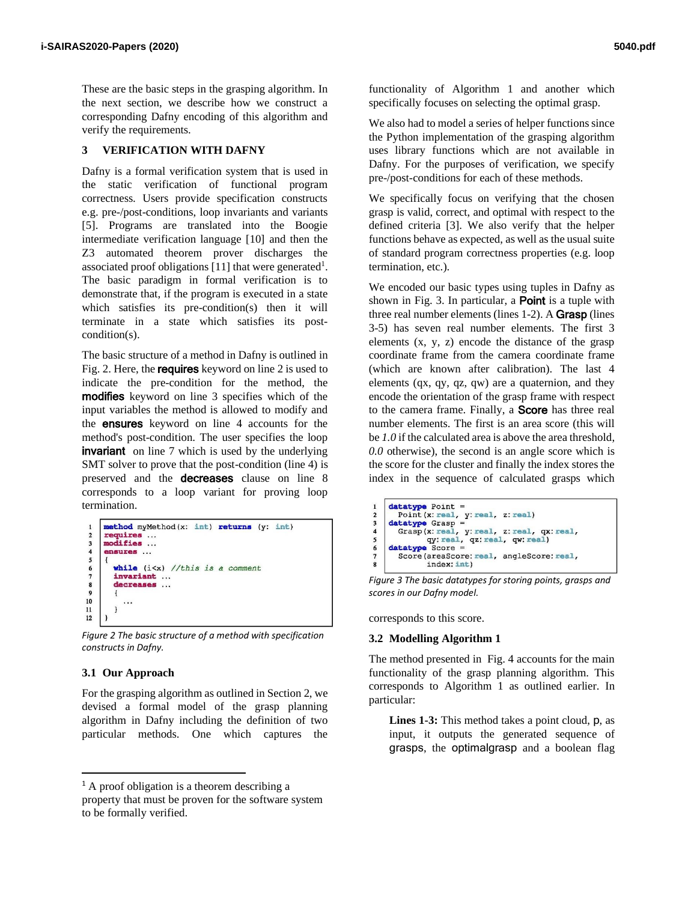These are the basic steps in the grasping algorithm. In the next section, we describe how we construct a corresponding Dafny encoding of this algorithm and verify the requirements.

# **3 VERIFICATION WITH DAFNY**

Dafny is a formal verification system that is used in the static verification of functional program correctness. Users provide specification constructs e.g. pre-/post-conditions, loop invariants and variants [5]. Programs are translated into the Boogie intermediate verification language [10] and then the Z3 automated theorem prover discharges the associated proof obligations [11] that were generated<sup>1</sup>. The basic paradigm in formal verification is to demonstrate that, if the program is executed in a state which satisfies its pre-condition(s) then it will terminate in a state which satisfies its postcondition(s).

The basic structure of a method in Dafny is outlined in Fig. 2. Here, the **requires** keyword on line 2 is used to indicate the pre-condition for the method, the modifies keyword on line 3 specifies which of the input variables the method is allowed to modify and the ensures keyword on line 4 accounts for the method's post-condition. The user specifies the loop **invariant** on line 7 which is used by the underlying SMT solver to prove that the post-condition (line 4) is preserved and the decreases clause on line 8 corresponds to a loop variant for proving loop termination.

```
method myMethod(x: int) returns (y: int)
       requires ...<br>modifies ...
 \mathbf 23
       ensures ...
 \overline{4}\overline{\mathbf{5}}6
           while (i<x) //this is a comment
           invariant ...
 \overline{\phantom{a}}decreases ...
 \bf{8}\overline{9}{\bf 10}. . .
11\mathbf{I}12
```
*Figure 2 The basic structure of a method with specification constructs in Dafny.*

### **3.1 Our Approach**

For the grasping algorithm as outlined in Section 2, we devised a formal model of the grasp planning algorithm in Dafny including the definition of two particular methods. One which captures the functionality of Algorithm 1 and another which specifically focuses on selecting the optimal grasp.

We also had to model a series of helper functions since the Python implementation of the grasping algorithm uses library functions which are not available in Dafny. For the purposes of verification, we specify pre-/post-conditions for each of these methods.

We specifically focus on verifying that the chosen grasp is valid, correct, and optimal with respect to the defined criteria [3]. We also verify that the helper functions behave as expected, as well as the usual suite of standard program correctness properties (e.g. loop termination, etc.).

We encoded our basic types using tuples in Dafny as shown in Fig. 3. In particular, a **Point** is a tuple with three real number elements (lines 1-2). A **Grasp** (lines 3-5) has seven real number elements. The first 3 elements  $(x, y, z)$  encode the distance of the grasp coordinate frame from the camera coordinate frame (which are known after calibration). The last 4 elements (qx, qy, qz, qw) are a quaternion, and they encode the orientation of the grasp frame with respect to the camera frame. Finally, a Score has three real number elements. The first is an area score (this will be *1.0* if the calculated area is above the area threshold, *0.0* otherwise), the second is an angle score which is the score for the cluster and finally the index stores the index in the sequence of calculated grasps which

```
datatype Point =<br>Point (x: real, y: real, z: real)
\mathbf{1}\overline{2}\overline{\mathbf{3}}datatype Grasp =
\overline{A}Grasp(x: real, y: real, z: real, qx: real,
\overline{5}qy: real, qz: real, qw: real)
     datatype Score =
6\phantom{1}6Score(areaScore: real, angleScore: real,
\overline{7}index: int)
```
*Figure 3 The basic datatypes for storing points, grasps and scores in our Dafny model.*

corresponds to this score.

### **3.2 Modelling Algorithm 1**

The method presented in Fig. 4 accounts for the main functionality of the grasp planning algorithm. This corresponds to Algorithm 1 as outlined earlier. In particular:

**Lines 1-3:** This method takes a point cloud, p, as input, it outputs the generated sequence of grasps, the optimalgrasp and a boolean flag

<sup>&</sup>lt;sup>1</sup> A proof obligation is a theorem describing a

property that must be proven for the software system to be formally verified.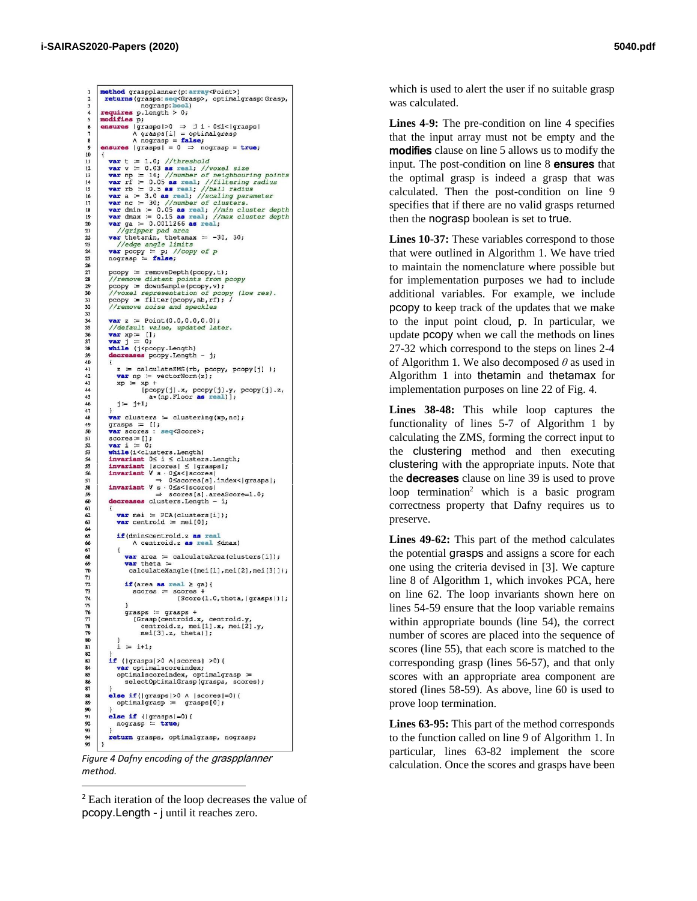method graspplanner (p: array<Point>)<br>returns (grasps: seq<Grasp>, optimalgrasp: Grasp, nograsp: bool) requires  $p.length > 0;$ <br>modifies  $p$ : p; moduries  $p_1$ <br>  $\land$  grasps $|00 \Rightarrow \exists i \cdot 0 \le i \le |$ grasps $| \land$  grasps $[i] =$  optimalgrasp<br>  $\land$  angrasp = false;<br>  $\land$  nograsp = true; 10<br>11<br>12<br>13<br>14<br>15<br>16<br>17<br>18<br>19 var  $t = 1.0$ ; //threshold<br>var  $v = 0.03$  as real; //voxel size<br>var  $p = 16$ ; //number of neighbouring points<br>var  $rf = 0.05$  as real; //filtering radius<br>var  $r = 0.5$  as real; //ball radius<br>var  $a = 3.0$  as real; //scaling para var nc = 30; //number of clusters.<br>
var dmin = 0.05 as real; //min cluster depth<br>
var dmin = 0.05 as real; //min cluster depth<br>
var ga = 0.0011266 as real; //max cluster depth<br>
var ga = 0.0011266 as real;  $\begin{array}{c} 20 \\ 21 \\ 22 \end{array}$  $\frac{1}{\sqrt{gripper}}$  pad area<br>var thetamin, thetamax = -30, 30; //edge angle limits 23<br>24<br>25<br>25 **var** pcopy =  $\frac{p}{2}$ ; //copy of  $p$ <br>nograsp = **false**;  $\begin{array}{l} {\tt pcopy} \coloneqq {\tt removeDepth}({\tt pcopy},t);\\ // {\tt remove\;distant\; points\; from\; pcopy\\ {\tt pcopy} \coloneqq {\tt downSample}({\tt pcopy},v);\\ // {\tt voxel\; representing\; to\; pcopy\; (low\; res)}.\\ {\tt pcopy} \coloneqq {\tt filter}({\tt pcopy}, {\tt nb}, {\tt rf}); \; // {\tt remove\; noise\; and\; speckles} \end{array}$ 27<br>28<br>29  $\frac{30}{31}$ 33 34 35 36 37 38 39 40 41 42 43 44 45 46 47 48 49 50 51 52 53 54 55 56 57 58 59 60 61 **var** z = Point  $(0.0, 0.0, 0.0)$ var z = Point  $(0.0, 0.0, 0.0)$ ;<br>
/default value, updated later.<br>
var xp = [];<br>
var j = 0;<br>
while (j<pcopy.Length) decreases pcopy.Length - j;  $z = \text{calculateZMS}(\text{rb}, \text{pcopy}, \text{pcopy}[j])$ ;<br>var np = vectorNorm(z);  $xp = xp +$  $[pcopy[j].x, pcopy[j].y, pcopy[j].z, a*(np.Floor as real)];$  $j = j+1;$  $var$  clusters = clustering(xp, nc); grasps =  $[]$ ;<br>var scores : seq<Score>;  $\begin{array}{ll}\n\text{scores} := [];\\ \n\text{var} & \coloneqq 0; \n\end{array}$ while(i<clusters.Length) mixariant  $0 \le i \le$  clusters. Length;<br>invariant  $0 \le i \le$  clusters. Length;<br>invariant  $|s \cos s| \le$  grasps  $|i|$  $\rightarrow$  0Sscores[s].index<|grasps|;<br> **invariant V** s · 0Ss<|scores| decreases clusters. Length - i;<br>
∴and decreases clusters. Length - i; **var** mei =  $PCA$ (clusters[i]); 62  $63$ <br> $64$ <br> $65$ **var** centroid  $:=$  mei[0]; if (dmin<centroid.z as real A centroid.z as real ≤dmax) 66 67 68 69 70 71 **var** area  $\coloneqq$  calculateArea(clusters[i]);  $var$  theta  $=$ calculateXangle([mei[1], mei[2], mei[3]]); if (area as real  $\ge$  ga) { 72 73 74 75 76 77 78 79 80 81  $scores = scores$ [Score(1.0, theta, |grasps|)]; y<br>
grasps = grasps +<br>
[Grasp(centroid.x, centroid.y,<br>
centroid.z, mei[1].x, mei[2].y,<br>
mei[3].z, theta)];  $i = i+1;$ 82 83 84 85 86 87 88 89 90 if ( $|grasps|>0 \land |scores|>0)$  ( var optimalscoreindex; our optimalscoreindex, optimalgrasp =<br>selectOptimalGrasp(grasps, scores); **else if**( $|$ grasps $|>0$   $\land$   $|$ scores $|=0$ ){<br>optimalgrasp = grasps $[0]$ ; else if  $(|$ grasps $|=0)$  {<br>nograsp = true; 91<br>92 93 return grasps, optimalgrasp, nograsp;

*method.*

<sup>2</sup> Each iteration of the loop decreases the value of pcopy.Length - j until it reaches zero.

which is used to alert the user if no suitable grasp was calculated.

Lines 4-9: The pre-condition on line 4 specifies that the input array must not be empty and the modifies clause on line 5 allows us to modify the input. The post-condition on line 8 ensures that the optimal grasp is indeed a grasp that was calculated. Then the post-condition on line 9 specifies that if there are no valid grasps returned then the nograsp boolean is set to true.

**Lines 10-37:** These variables correspond to those that were outlined in Algorithm 1. We have tried to maintain the nomenclature where possible but for implementation purposes we had to include additional variables. For example, we include pcopy to keep track of the updates that we make to the input point cloud, p. In particular, we update pcopy when we call the methods on lines 27-32 which correspond to the steps on lines 2-4 of Algorithm 1. We also decomposed *θ* as used in Algorithm 1 into thetamin and thetamax for implementation purposes on line 22 of Fig. 4.

**Lines 38-48:** This while loop captures the functionality of lines 5-7 of Algorithm 1 by calculating the ZMS, forming the correct input to the clustering method and then executing clustering with the appropriate inputs. Note that the decreases clause on line 39 is used to prove loop termination<sup>2</sup> which is a basic program correctness property that Dafny requires us to preserve.

**Lines 49-62:** This part of the method calculates the potential grasps and assigns a score for each one using the criteria devised in [3]. We capture line 8 of Algorithm 1, which invokes PCA, here on line 62. The loop invariants shown here on lines 54-59 ensure that the loop variable remains within appropriate bounds (line 54), the correct number of scores are placed into the sequence of scores (line 55), that each score is matched to the corresponding grasp (lines 56-57), and that only scores with an appropriate area component are stored (lines 58-59). As above, line 60 is used to prove loop termination.

**Lines 63-95:** This part of the method corresponds to the function called on line 9 of Algorithm 1. In particular, lines 63-82 implement the score Figure 4 Dafny encoding of the graspplanner<br>Calculation. Once the scores and grasps have been<br>Figure 4 *Dafny encoding of the graspplanner*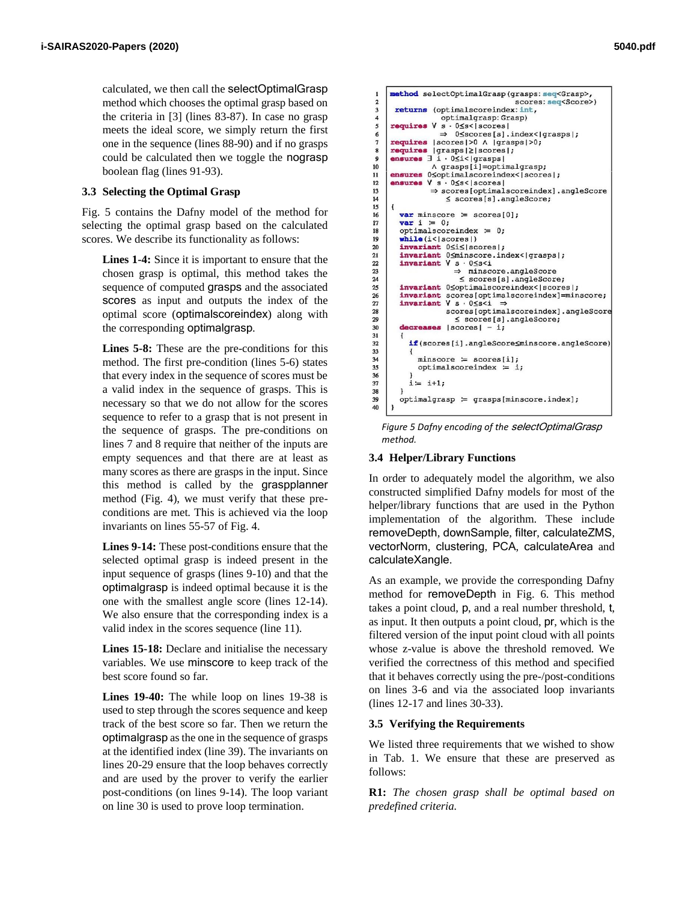calculated, we then call the selectOptimalGrasp method which chooses the optimal grasp based on the criteria in [3] (lines 83-87). In case no grasp meets the ideal score, we simply return the first one in the sequence (lines 88-90) and if no grasps could be calculated then we toggle the nograsp boolean flag (lines 91-93).

# **3.3 Selecting the Optimal Grasp**

Fig. 5 contains the Dafny model of the method for selecting the optimal grasp based on the calculated scores. We describe its functionality as follows:

**Lines 1-4:** Since it is important to ensure that the chosen grasp is optimal, this method takes the sequence of computed grasps and the associated scores as input and outputs the index of the optimal score (optimalscoreindex) along with the corresponding optimalgrasp.

Lines 5-8: These are the pre-conditions for this method. The first pre-condition (lines 5-6) states that every index in the sequence of scores must be a valid index in the sequence of grasps. This is necessary so that we do not allow for the scores sequence to refer to a grasp that is not present in the sequence of grasps. The pre-conditions on lines 7 and 8 require that neither of the inputs are empty sequences and that there are at least as many scores as there are grasps in the input. Since this method is called by the graspplanner method (Fig. 4), we must verify that these preconditions are met. This is achieved via the loop invariants on lines 55-57 of Fig. 4.

**Lines 9-14:** These post-conditions ensure that the selected optimal grasp is indeed present in the input sequence of grasps (lines 9-10) and that the optimalgrasp is indeed optimal because it is the one with the smallest angle score (lines 12-14). We also ensure that the corresponding index is a valid index in the scores sequence (line 11).

**Lines 15-18:** Declare and initialise the necessary variables. We use minscore to keep track of the best score found so far.

**Lines 19-40:** The while loop on lines 19-38 is used to step through the scores sequence and keep track of the best score so far. Then we return the optimalgraspas the one in the sequence of grasps at the identified index (line 39). The invariants on lines 20-29 ensure that the loop behaves correctly and are used by the prover to verify the earlier post-conditions (on lines 9-14). The loop variant on line 30 is used to prove loop termination.

```
method selectOptimalGrasp(grasps: seq<Grasp>,
\mathbf{1}\overline{2}scores: seg<Score>)
\overline{\mathbf{3}}returns (optimalscoreindex: int,
\overline{4}optimalgrasp: Grasp)
     requires V s · 0≤s<|scores|
5
\begin{array}{c} 6 \\ 7 \end{array}\Rightarrow 0\lescores[s].index<|qrasps|;
                  |scores| > 0 \land | grass| > 0;requires
\bf{8}requires
                  |{\rm drasps}|\geq|{\rm scores}|ensures \overline{1} \overline{1} \cdot 0 \leq 1 < 1 grasps | \overline{1} = optimal grasp;
\circ1011ensures 0soptimalscoreindex<|scores|;
12ensures V s \cdot 0 \leq s < |scores|13\Rightarrow scores [optimalscoreindex].angleScore
\overline{14}\le scores[s].angleScore;
15
        var minscore \coloneqq scores[0];
16
17var i = 0:
18
        optimal scoreindex := 0;19
        while (i < |{}scores|)invariant 0 \leq i \leq |\text{scores}|;
20
21invariant 0 <minscore.index</a>|grasps
22 \,invariant V s 0Ss<1
\overline{23}\Rightarrowminscore.angleScore
24\le scores[s].angleScore;
25invariant 0<optimalscoreindex</scores();
\frac{1}{26}invariant scores [optimalscoreindex]=minscore;
\overline{27}invariant V s \cdot 0 \leq s < i \Rightarrow28scores[optimalscoreindex].angleScore
\frac{10}{29}\le scores[s].angleScore;
30
        decreases | scores | - i;
\frac{31}{32}if (scores[i].angleScore<minscore.angleScore)
33
34minscore = scores[i];\overline{35}optimalscoreindex = i;36
37i = i+1:
38
39
        optimal grasp = grass[minscore.index];40
```
*Figure 5 Dafny encoding of the* selectOptimalGrasp *method.*

# **3.4 Helper/Library Functions**

In order to adequately model the algorithm, we also constructed simplified Dafny models for most of the helper/library functions that are used in the Python implementation of the algorithm. These include removeDepth, downSample, filter, calculateZMS, vectorNorm, clustering, PCA, calculateArea and calculateXangle.

As an example, we provide the corresponding Dafny method for removeDepth in Fig. 6. This method takes a point cloud, p, and a real number threshold, t, as input. It then outputs a point cloud, pr, which is the filtered version of the input point cloud with all points whose z-value is above the threshold removed. We verified the correctness of this method and specified that it behaves correctly using the pre-/post-conditions on lines 3-6 and via the associated loop invariants (lines 12-17 and lines 30-33).

# **3.5 Verifying the Requirements**

We listed three requirements that we wished to show in Tab. 1. We ensure that these are preserved as follows:

**R1:** *The chosen grasp shall be optimal based on predefined criteria.*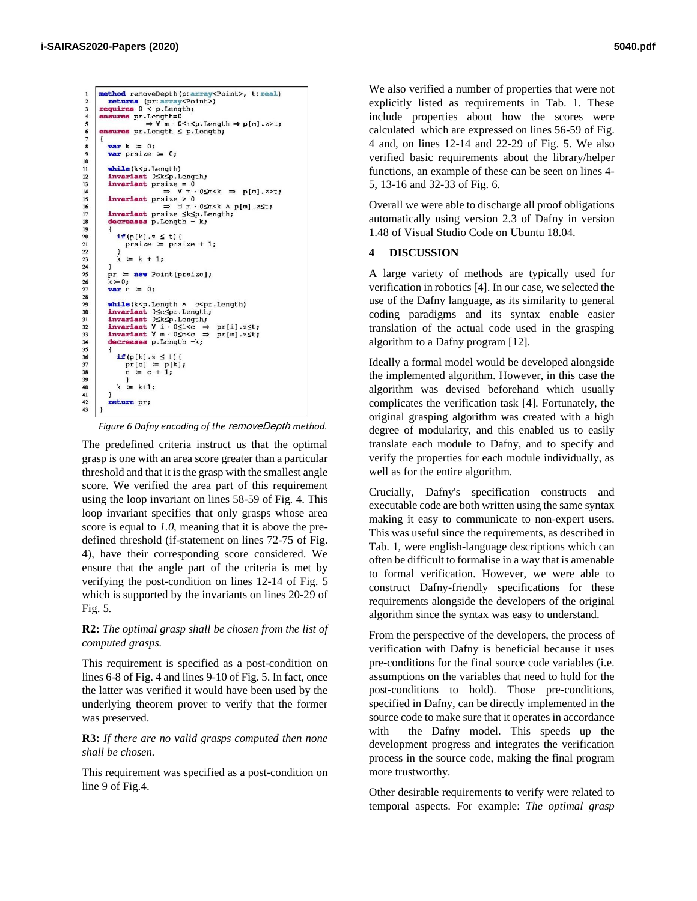```
method removeDepth(p:array<Point>, t:real)
        returns (pr: array<Point>)<br>requires 0 < p. Length;
 \overline{\mathbf{c}}3
         ensures pr.Length=0<br>
\Rightarrow V m · 0≤m<p.Length \Rightarrow p[m].z>t;
         ensures pr.Length < p.Length;
            var k = 0;<br>var prsize = 0;
 \frac{8}{9}\begin{array}{c} 10 \\ 11 \end{array}while (k < p.length)12invariant 0SkSp. Length;
            invariant USKSp.Length;<br>
i \rightarrow V \mod N<br>
i \rightarrow V \mod N<br>
i \rightarrow V \mod N<br>
i \rightarrow 0<br>
i \rightarrow 013<br>14<br>15<br>16<br>17
            invariant prsize > 0
                                       \Rightarrow \exists m \cdot 0 sm < k \land p[m] . z st;
            invariant preize \leq k \leq p. Length;
\begin{array}{c} 18 \\ 19 \end{array}decreases p. Length -
\frac{20}{21}if(p[k], z \le t)prsize = prsize + 1;
22 23 24 25 26 27 28 29 30 31
                 k = k + 1;
            pr := new Point[prsize];<br>k := 0;var c = 0;
            while (k<br/>sp.Length A c<br/>spr.Length) invariant Osc<br/>Spr.Length; invariant Osk<br/>Sp.Length; invariant V i Osisco \Rightarrow pr[i].z invariant V m · Os<br/>msc \Rightarrow pr[i].z
32
                                                                 pr[i].z \leq t;33<br>34<br>35<br>36<br>37<br>38
                                                                 pr[m].z \leq t;decreases p. Length -k;
                 if(p[k], z \le t)\Pr[c] = p[k];<br>c = c + 1;
39<br>40
                 k = k+1;41return pr;
43
```
*Figure 6 Dafny encoding of the* removeDepth *method.*

The predefined criteria instruct us that the optimal grasp is one with an area score greater than a particular threshold and that it is the grasp with the smallest angle score. We verified the area part of this requirement using the loop invariant on lines 58-59 of Fig. 4. This loop invariant specifies that only grasps whose area score is equal to *1.0*, meaning that it is above the predefined threshold (if-statement on lines 72-75 of Fig. 4), have their corresponding score considered. We ensure that the angle part of the criteria is met by verifying the post-condition on lines 12-14 of Fig. 5 which is supported by the invariants on lines 20-29 of Fig. 5.

# **R2:** *The optimal grasp shall be chosen from the list of computed grasps.*

This requirement is specified as a post-condition on lines 6-8 of Fig. 4 and lines 9-10 of Fig. 5. In fact, once the latter was verified it would have been used by the underlying theorem prover to verify that the former was preserved.

# **R3:** *If there are no valid grasps computed then none shall be chosen.*

This requirement was specified as a post-condition on line 9 of Fig.4.

We also verified a number of properties that were not explicitly listed as requirements in Tab. 1. These include properties about how the scores were calculated which are expressed on lines 56-59 of Fig. 4 and, on lines 12-14 and 22-29 of Fig. 5. We also verified basic requirements about the library/helper functions, an example of these can be seen on lines 4- 5, 13-16 and 32-33 of Fig. 6.

Overall we were able to discharge all proof obligations automatically using version 2.3 of Dafny in version 1.48 of Visual Studio Code on Ubuntu 18.04.

# **4 DISCUSSION**

A large variety of methods are typically used for verification in robotics [4]. In our case, we selected the use of the Dafny language, as its similarity to general coding paradigms and its syntax enable easier translation of the actual code used in the grasping algorithm to a Dafny program [12].

Ideally a formal model would be developed alongside the implemented algorithm. However, in this case the algorithm was devised beforehand which usually complicates the verification task [4]. Fortunately, the original grasping algorithm was created with a high degree of modularity, and this enabled us to easily translate each module to Dafny, and to specify and verify the properties for each module individually, as well as for the entire algorithm.

Crucially, Dafny's specification constructs and executable code are both written using the same syntax making it easy to communicate to non-expert users. This was useful since the requirements, as described in Tab. 1, were english-language descriptions which can often be difficult to formalise in a way that is amenable to formal verification. However, we were able to construct Dafny-friendly specifications for these requirements alongside the developers of the original algorithm since the syntax was easy to understand.

From the perspective of the developers, the process of verification with Dafny is beneficial because it uses pre-conditions for the final source code variables (i.e. assumptions on the variables that need to hold for the post-conditions to hold). Those pre-conditions, specified in Dafny, can be directly implemented in the source code to make sure that it operates in accordance with the Dafny model. This speeds up the development progress and integrates the verification process in the source code, making the final program more trustworthy.

Other desirable requirements to verify were related to temporal aspects. For example: *The optimal grasp*